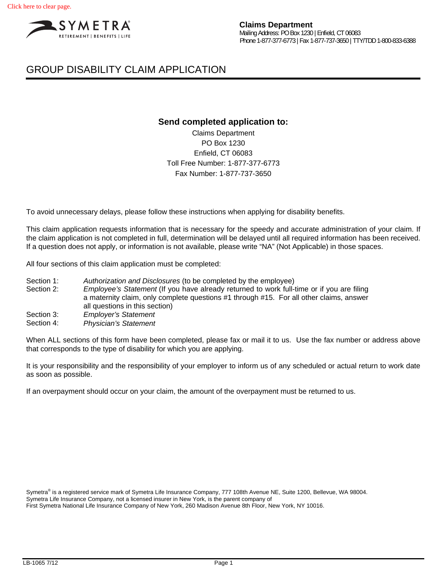

# GROUP DISABILITY CLAIM APPLICATION

## **Send completed application to:**

Claims Department PO Box 1230 Enfield, CT 06083 Toll Free Number: 1-877-377-6773 Fax Number: 1-877-737-3650

To avoid unnecessary delays, please follow these instructions when applying for disability benefits.

This claim application requests information that is necessary for the speedy and accurate administration of your claim. If the claim application is not completed in full, determination will be delayed until all required information has been received. If a question does not apply, or information is not available, please write "NA" (Not Applicable) in those spaces.

All four sections of this claim application must be completed:

Section 1: *Authorization and Disclosures* (to be completed by the employee)

Section 2: *Employee's Statement* (If you have already returned to work full-time or if you are filing a maternity claim, only complete questions #1 through #15. For all other claims, answer all questions in this section)

Section 3: *Employer's Statement* 

Section 4: *Physician's Statement* 

When ALL sections of this form have been completed, please fax or mail it to us. Use the fax number or address above that corresponds to the type of disability for which you are applying.

It is your responsibility and the responsibility of your employer to inform us of any scheduled or actual return to work date as soon as possible.

If an overpayment should occur on your claim, the amount of the overpayment must be returned to us.

Symetra® is a registered service mark of Symetra Life Insurance Company, 777 108th Avenue NE, Suite 1200, Bellevue, WA 98004. Symetra Life Insurance Company, not a licensed insurer in New York, is the parent company of First Symetra National Life Insurance Company of New York, 260 Madison Avenue 8th Floor, New York, NY 10016.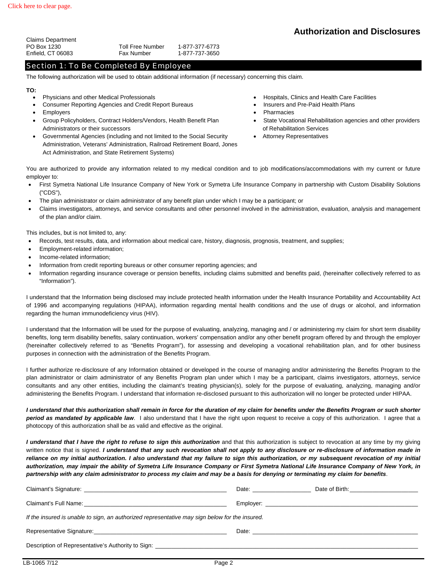| <b>Toll Free Number</b> | 1-877-377-6773 |
|-------------------------|----------------|
| Fax Number              | 1-877-737-3650 |
|                         |                |

## Section 1: To Be Completed By Employee

The following authorization will be used to obtain additional information (if necessary) concerning this claim.

#### **TO:**

- 
- Consumer Reporting Agencies and Credit Report Bureaus **Insurers and Pre-Paid Health Plans**
- 
- Group Policyholders, Contract Holders/Vendors, Health Benefit Plan Administrators or their successors
- Governmental Agencies (including and not limited to the Social Security Administration, Veterans' Administration, Railroad Retirement Board, Jones Act Administration, and State Retirement Systems)
- Physicians and other Medical Professionals **Hospitals Hospitals, Clinics and Health Care Facilities** 
	-
- Employers Pharmacies
	- State Vocational Rehabilitation agencies and other providers of Rehabilitation Services
	- Attorney Representatives

You are authorized to provide any information related to my medical condition and to job modifications/accommodations with my current or future employer to:

- First Symetra National Life Insurance Company of New York or Symetra Life Insurance Company in partnership with Custom Disability Solutions ("CDS"),
- The plan administrator or claim administrator of any benefit plan under which I may be a participant; or
- Claims investigators, attorneys, and service consultants and other personnel involved in the administration, evaluation, analysis and management of the plan and/or claim.

This includes, but is not limited to, any:

- Records, test results, data, and information about medical care, history, diagnosis, prognosis, treatment, and supplies;
- Employment-related information;
- Income-related information;
- Information from credit reporting bureaus or other consumer reporting agencies; and
- Information regarding insurance coverage or pension benefits, including claims submitted and benefits paid, (hereinafter collectively referred to as "Information").

I understand that the Information being disclosed may include protected health information under the Health Insurance Portability and Accountability Act of 1996 and accompanying regulations (HIPAA), information regarding mental health conditions and the use of drugs or alcohol, and information regarding the human immunodeficiency virus (HIV).

I understand that the Information will be used for the purpose of evaluating, analyzing, managing and / or administering my claim for short term disability benefits, long term disability benefits, salary continuation, workers' compensation and/or any other benefit program offered by and through the employer (hereinafter collectively referred to as "Benefits Program"), for assessing and developing a vocational rehabilitation plan, and for other business purposes in connection with the administration of the Benefits Program.

I further authorize re-disclosure of any Information obtained or developed in the course of managing and/or administering the Benefits Program to the plan administrator or claim administrator of any Benefits Program plan under which I may be a participant, claims investigators, attorneys, service consultants and any other entities, including the claimant's treating physician(s), solely for the purpose of evaluating, analyzing, managing and/or administering the Benefits Program. I understand that information re-disclosed pursuant to this authorization will no longer be protected under HIPAA.

*I understand that this authorization shall remain in force for the duration of my claim for benefits under the Benefits Program or such shorter period as mandated by applicable law*. I also understand that I have the right upon request to receive a copy of this authorization. I agree that a photocopy of this authorization shall be as valid and effective as the original.

*I understand that I have the right to refuse to sign this authorization* and that this authorization is subject to revocation at any time by my giving written notice that is signed. *I understand that any such revocation shall not apply to any disclosure or re-disclosure of information made in reliance on my initial authorization. I also understand that my failure to sign this authorization, or my subsequent revocation of my initial authorization, may impair the ability of Symetra Life Insurance Company or First Symetra National Life Insurance Company of New York, in partnership with any claim administrator to process my claim and may be a basis for denying or terminating my claim for benefits*.

| Claimant's Signature: Claimant's Signature:                                                                                                                                                                                    | Date: the contract of the contract of the contract of the contract of the contract of the contract of the contract of the contract of the contract of the contract of the contract of the contract of the contract of the cont | Date of Birth: <u>_____________________</u> |  |  |  |  |
|--------------------------------------------------------------------------------------------------------------------------------------------------------------------------------------------------------------------------------|--------------------------------------------------------------------------------------------------------------------------------------------------------------------------------------------------------------------------------|---------------------------------------------|--|--|--|--|
| Claimant's Full Name: Name: Name: Name: Name: Name: Name: Name: Name: Name: Name: Name: Name: Name: Name: Name: Name: Name: Name: Name: Name: Name: Name: Name: Name: Name: Name: Name: Name: Name: Name: Name: Name: Name: Na |                                                                                                                                                                                                                                |                                             |  |  |  |  |
| If the insured is unable to sign, an authorized representative may sign below for the insured.                                                                                                                                 |                                                                                                                                                                                                                                |                                             |  |  |  |  |
| Representative Signature: Network and the state of the state of the state of the state of the state of the state of the state of the state of the state of the state of the state of the state of the state of the state of th |                                                                                                                                                                                                                                |                                             |  |  |  |  |
| Description of Representative's Authority to Sign: Learning and the contract of the contract of the contract of the contract of the contract of the contract of the contract of the contract of the contract of the contract o |                                                                                                                                                                                                                                |                                             |  |  |  |  |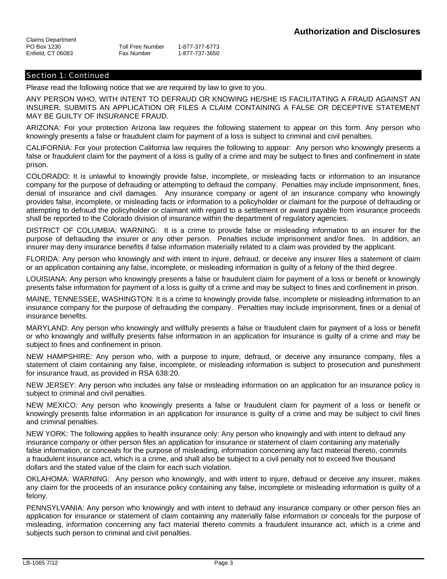## Section 1: Continued

Please read the following notice that we are required by law to give to you.

ANY PERSON WHO, WITH INTENT TO DEFRAUD OR KNOWING HE/SHE IS FACILITATING A FRAUD AGAINST AN INSURER, SUBMITS AN APPLICATION OR FILES A CLAIM CONTAINING A FALSE OR DECEPTIVE STATEMENT MAY BE GUILTY OF INSURANCE FRAUD.

ARIZONA: For your protection Arizona law requires the following statement to appear on this form. Any person who knowingly presents a false or fraudulent claim for payment of a loss is subject to criminal and civil penalties.

CALIFORNIA: For your protection California law requires the following to appear: Any person who knowingly presents a false or fraudulent claim for the payment of a loss is guilty of a crime and may be subject to fines and confinement in state prison.

COLORADO: It is unlawful to knowingly provide false, incomplete, or misleading facts or information to an insurance company for the purpose of defrauding or attempting to defraud the company. Penalties may include imprisonment, fines, denial of insurance and civil damages. Any insurance company or agent of an insurance company who knowingly provides false, incomplete, or misleading facts or information to a policyholder or claimant for the purpose of defrauding or attempting to defraud the policyholder or claimant with regard to a settlement or award payable from insurance proceeds shall be reported to the Colorado division of insurance within the department of regulatory agencies.

DISTRICT OF COLUMBIA: WARNING: It is a crime to provide false or misleading information to an insurer for the purpose of defrauding the insurer or any other person. Penalties include imprisonment and/or fines. In addition, an insurer may deny insurance benefits if false information materially related to a claim was provided by the applicant.

FLORIDA: Any person who knowingly and with intent to injure, defraud, or deceive any insurer files a statement of claim or an application containing any false, incomplete, or misleading information is guilty of a felony of the third degree.

LOUISIANA: Any person who knowingly presents a false or fraudulent claim for payment of a loss or benefit or knowingly presents false information for payment of a loss is guilty of a crime and may be subject to fines and confinement in prison.

MAINE, TENNESSEE, WASHINGTON: It is a crime to knowingly provide false, incomplete or misleading information to an insurance company for the purpose of defrauding the company. Penalties may include imprisonment, fines or a denial of insurance benefits.

MARYLAND: Any person who knowingly and willfully presents a false or fraudulent claim for payment of a loss or benefit or who knowingly and willfully presents false information in an application for insurance is guilty of a crime and may be subject to fines and confinement in prison.

NEW HAMPSHIRE: Any person who, with a purpose to injure, defraud, or deceive any insurance company, files a statement of claim containing any false, incomplete, or misleading information is subject to prosecution and punishment for insurance fraud, as provided in RSA 638:20.

NEW JERSEY: Any person who includes any false or misleading information on an application for an insurance policy is subject to criminal and civil penalties.

NEW MEXICO: Any person who knowingly presents a false or fraudulent claim for payment of a loss or benefit or knowingly presents false information in an application for insurance is guilty of a crime and may be subject to civil fines and criminal penalties.

NEW YORK: The following applies to health insurance only: Any person who knowingly and with intent to defraud any insurance company or other person files an application for insurance or statement of claim containing any materially false information, or conceals for the purpose of misleading, information concerning any fact material thereto, commits a fraudulent insurance act, which is a crime, and shall also be subject to a civil penalty not to exceed five thousand dollars and the stated value of the claim for each such violation.

OKLAHOMA: WARNING: Any person who knowingly, and with intent to injure, defraud or deceive any insurer, makes any claim for the proceeds of an insurance policy containing any false, incomplete or misleading information is guilty of a felony.

PENNSYLVANIA: Any person who knowingly and with intent to defraud any insurance company or other person files an application for insurance or statement of claim containing any materially false information or conceals for the purpose of misleading, information concerning any fact material thereto commits a fraudulent insurance act, which is a crime and subjects such person to criminal and civil penalties.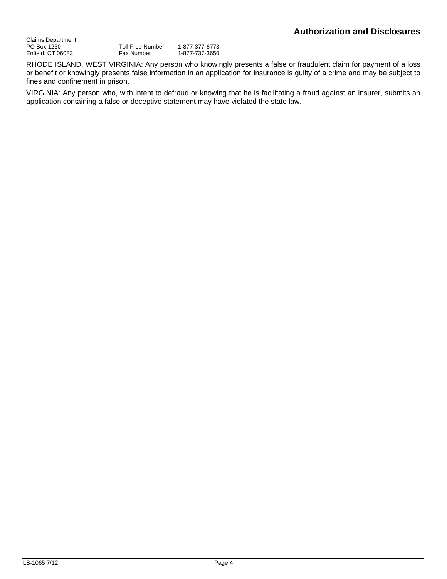Claims Department PO Box 1230 Enfield, CT 06083 Toll Free Number 1-877-377-6773<br>Fax Number 1-877-737-3650 Fax Number 1-877-737-3650

RHODE ISLAND, WEST VIRGINIA: Any person who knowingly presents a false or fraudulent claim for payment of a loss or benefit or knowingly presents false information in an application for insurance is guilty of a crime and may be subject to fines and confinement in prison.

VIRGINIA: Any person who, with intent to defraud or knowing that he is facilitating a fraud against an insurer, submits an application containing a false or deceptive statement may have violated the state law.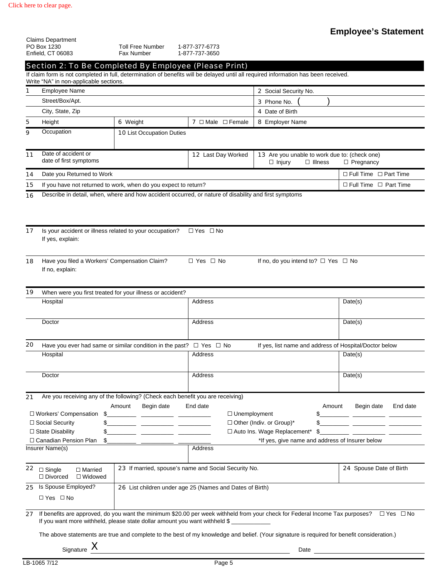|    | <b>Claims Department</b><br>PO Box 1230                                                         | <b>Toll Free Number</b>                          | 1-877-377-6773                                                                                        |                                                                                                                                     |                                   |
|----|-------------------------------------------------------------------------------------------------|--------------------------------------------------|-------------------------------------------------------------------------------------------------------|-------------------------------------------------------------------------------------------------------------------------------------|-----------------------------------|
|    | Enfield, CT 06083                                                                               | <b>Fax Number</b>                                | 1-877-737-3650                                                                                        |                                                                                                                                     |                                   |
|    | Section 2: To Be Completed By Employee (Please Print)<br>Write "NA" in non-applicable sections. |                                                  |                                                                                                       | If claim form is not completed in full, determination of benefits will be delayed until all required information has been received. |                                   |
| 1  | <b>Employee Name</b>                                                                            |                                                  |                                                                                                       | 2 Social Security No.                                                                                                               |                                   |
|    | Street/Box/Apt.                                                                                 |                                                  |                                                                                                       | 3 Phone No.                                                                                                                         |                                   |
|    | City, State, Zip                                                                                |                                                  |                                                                                                       | 4 Date of Birth                                                                                                                     |                                   |
| 5  | Height                                                                                          | 6 Weight                                         | <b>7</b> $\Box$ Male $\Box$ Female                                                                    | 8 Employer Name                                                                                                                     |                                   |
| 9  | Occupation                                                                                      | <b>10 List Occupation Duties</b>                 |                                                                                                       |                                                                                                                                     |                                   |
| 11 | Date of accident or<br>date of first symptoms                                                   |                                                  | 12 Last Day Worked                                                                                    | 13 Are you unable to work due to: (check one)<br>$\Box$ Illness<br>$\Box$ Injury                                                    | $\Box$ Pregnancy                  |
| 14 | Date you Returned to Work                                                                       |                                                  |                                                                                                       |                                                                                                                                     | $\Box$ Full Time $\Box$ Part Time |
| 15 | If you have not returned to work, when do you expect to return?                                 |                                                  |                                                                                                       |                                                                                                                                     | $\Box$ Full Time $\Box$ Part Time |
| 16 |                                                                                                 |                                                  | Describe in detail, when, where and how accident occurred, or nature of disability and first symptoms |                                                                                                                                     |                                   |
| 17 | Is your accident or illness related to your occupation?                                         |                                                  | $\Box$ Yes $\Box$ No                                                                                  |                                                                                                                                     |                                   |
|    | If yes, explain:                                                                                |                                                  |                                                                                                       |                                                                                                                                     |                                   |
| 18 | Have you filed a Workers' Compensation Claim?<br>If no, explain:                                |                                                  | $\Box$ Yes $\Box$ No                                                                                  | If no, do you intend to? $\Box$ Yes $\Box$ No                                                                                       |                                   |
| 19 | When were you first treated for your illness or accident?                                       |                                                  |                                                                                                       |                                                                                                                                     |                                   |
|    | Hospital                                                                                        |                                                  | Address                                                                                               |                                                                                                                                     | Date(s)                           |
|    | Doctor                                                                                          |                                                  | Address                                                                                               |                                                                                                                                     | Date(s)                           |
| 20 | Have you ever had same or similar condition in the past? $\Box$ Yes $\Box$ No                   |                                                  |                                                                                                       | If yes, list name and address of Hospital/Doctor below                                                                              |                                   |
|    | Hospital                                                                                        |                                                  | Address                                                                                               |                                                                                                                                     | Date(s)                           |
|    | Doctor                                                                                          |                                                  | Address                                                                                               |                                                                                                                                     | Date(s)                           |
| 21 | Are you receiving any of the following? (Check each benefit you are receiving)                  |                                                  |                                                                                                       |                                                                                                                                     |                                   |
|    | □ Workers' Compensation<br>\$                                                                   | Amount<br>Begin date<br>$\overline{\phantom{a}}$ | End date                                                                                              | Amount<br>$\Box$ Unemployment<br>\$                                                                                                 | End date<br>Begin date            |
|    | \$<br>□ Social Security                                                                         |                                                  |                                                                                                       | $\Box$ Other (Indiv. or Group)*                                                                                                     |                                   |
|    | $\Box$ State Disability                                                                         |                                                  |                                                                                                       | □ Auto Ins. Wage Replacement*<br>\$                                                                                                 |                                   |
|    | □ Canadian Pension Plan<br>\$                                                                   |                                                  |                                                                                                       | *If yes, give name and address of Insurer below                                                                                     |                                   |
|    | Insurer Name(s)                                                                                 |                                                  | Address                                                                                               |                                                                                                                                     |                                   |
| 22 | $\Box$ Single<br>$\Box$ Married<br>$\Box$ Divorced<br>$\Box$ Widowed                            |                                                  | 23 If married, spouse's name and Social Security No.                                                  |                                                                                                                                     | 24 Spouse Date of Birth           |
|    | 25 Is Spouse Employed?<br>$\Box$ Yes $\Box$ No                                                  |                                                  | 26 List children under age 25 (Names and Dates of Birth)                                              |                                                                                                                                     |                                   |
| 27 | If you want more withheld, please state dollar amount you want withheld \$                      |                                                  |                                                                                                       | If benefits are approved, do you want the minimum \$20.00 per week withheld from your check for Federal Income Tax purposes?        | $\Box$ Yes $\Box$ No              |

The above statements are true and complete to the best of my knowledge and belief. (Your signature is required for benefit consideration.)

Signature X Date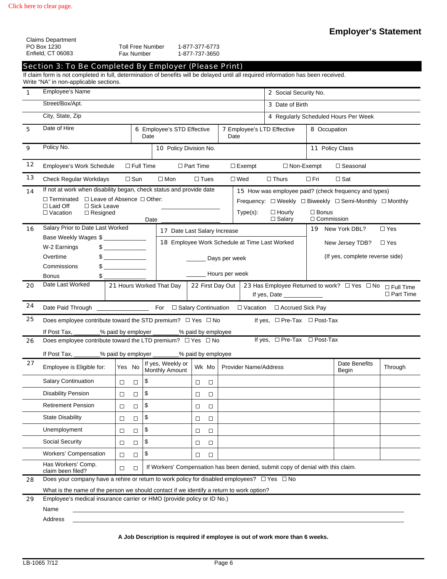Claims Department PO Box 1230

|          | PO Box 1230<br>Enfield, CT 06083<br>Section 3: To Be Completed By Employer (Please Print)<br>If claim form is not completed in full, determination of benefits will be delayed until all required information has been received. |                  | Fax Number       | <b>Toll Free Number</b>                    |                  | 1-877-377-6773<br>1-877-737-3650              |                  |                               |                                                                                  |              |                                                                         |                  |
|----------|----------------------------------------------------------------------------------------------------------------------------------------------------------------------------------------------------------------------------------|------------------|------------------|--------------------------------------------|------------------|-----------------------------------------------|------------------|-------------------------------|----------------------------------------------------------------------------------|--------------|-------------------------------------------------------------------------|------------------|
|          | Write "NA" in non-applicable sections.                                                                                                                                                                                           |                  |                  |                                            |                  |                                               |                  |                               |                                                                                  |              |                                                                         |                  |
| 1        | <b>Employee's Name</b>                                                                                                                                                                                                           |                  |                  |                                            |                  |                                               |                  | 2 Social Security No.         |                                                                                  |              |                                                                         |                  |
|          | Street/Box/Apt.                                                                                                                                                                                                                  |                  |                  |                                            |                  |                                               |                  |                               | 3 Date of Birth                                                                  |              |                                                                         |                  |
|          | City, State, Zip                                                                                                                                                                                                                 |                  |                  |                                            |                  |                                               |                  |                               |                                                                                  |              | 4 Regularly Scheduled Hours Per Week                                    |                  |
| 5        | Date of Hire                                                                                                                                                                                                                     |                  |                  | 6 Employee's STD Effective<br>Date         |                  |                                               |                  | Date                          | <b>7</b> Employee's LTD Effective                                                |              | 8 Occupation                                                            |                  |
| 9        | Policy No.                                                                                                                                                                                                                       |                  |                  | 10 Policy Division No.                     |                  |                                               |                  |                               |                                                                                  |              | 11 Policy Class                                                         |                  |
| 12       | Employee's Work Schedule                                                                                                                                                                                                         |                  |                  | $\Box$ Full Time                           | $\Box$ Part Time |                                               |                  | $\Box$ Exempt                 | $\Box$ Non-Exempt                                                                |              | $\Box$ Seasonal                                                         |                  |
| 13       | Check Regular Workdays                                                                                                                                                                                                           |                  | $\Box$ Sun       | $\square$ Mon                              |                  | $\Box$ Tues                                   |                  | $\Box$ Wed                    | $\Box$ Thurs                                                                     | $\Box$ Fri   | $\Box$ Sat                                                              |                  |
| 14       | If not at work when disability began, check status and provide date                                                                                                                                                              |                  |                  |                                            |                  |                                               |                  |                               |                                                                                  |              | 15 How was employee paid? (check frequency and types)                   |                  |
|          | $\Box$ Terminated $\Box$ Leave of Absence $\Box$ Other:                                                                                                                                                                          |                  |                  |                                            |                  |                                               |                  |                               |                                                                                  |              | Frequency: □ Weekly □ Biweekly □ Semi-Monthly □ Monthly                 |                  |
|          | $\Box$ Laid Off<br>$\Box$ Sick Leave<br>$\Box$ Vacation<br>$\Box$ Resigned                                                                                                                                                       |                  |                  |                                            |                  |                                               |                  | $Type(s)$ :                   | $\Box$ Hourly                                                                    | $\Box$ Bonus |                                                                         |                  |
|          |                                                                                                                                                                                                                                  |                  |                  | Date                                       |                  |                                               |                  |                               | $\Box$ Salary                                                                    |              | $\Box$ Commission                                                       |                  |
| 16       | Salary Prior to Date Last Worked<br>17 Date Last Salary Increase<br>Base Weekly Wages \$                                                                                                                                         |                  |                  |                                            |                  |                                               | 19 New York DBL? | $\Box$ Yes                    |                                                                                  |              |                                                                         |                  |
|          | W-2 Earnings                                                                                                                                                                                                                     | $\frac{1}{2}$    |                  |                                            |                  | 18 Employee Work Schedule at Time Last Worked |                  |                               | New Jersey TDB?                                                                  | $\Box$ Yes   |                                                                         |                  |
|          | Overtime                                                                                                                                                                                                                         | $\sim$           |                  |                                            |                  |                                               | Days per week    |                               | (If yes, complete reverse side)                                                  |              |                                                                         |                  |
|          | Commissions                                                                                                                                                                                                                      | $\sim$           |                  |                                            |                  |                                               |                  |                               |                                                                                  |              |                                                                         |                  |
|          | <b>Bonus</b><br>\$                                                                                                                                                                                                               |                  |                  |                                            |                  | _Hours per week                               |                  |                               |                                                                                  |              |                                                                         |                  |
| 20<br>24 | Date Last Worked                                                                                                                                                                                                                 |                  |                  | 21 Hours Worked That Day                   |                  | 22 First Day Out                              |                  |                               | If yes, Date _____________                                                       |              | 23 Has Employee Returned to work? $\Box$ Yes $\Box$ No $\Box$ Full Time | $\Box$ Part Time |
| 25       | Does employee contribute toward the STD premium? $\Box$ Yes $\Box$ No                                                                                                                                                            |                  |                  |                                            |                  |                                               |                  |                               | If yes, $\Box$ Pre-Tax $\Box$ Post-Tax                                           |              |                                                                         |                  |
|          |                                                                                                                                                                                                                                  |                  |                  |                                            |                  |                                               |                  |                               |                                                                                  |              |                                                                         |                  |
| 26       | If Post Tax,<br>Does employee contribute toward the LTD premium? $\Box$ Yes $\Box$ No                                                                                                                                            |                  |                  | _% paid by employer ____                   |                  | _% paid by employee                           |                  |                               | If yes, □ Pre-Tax □ Post-Tax                                                     |              |                                                                         |                  |
|          | If Post Tax, ________% paid by employer ________% paid by employee                                                                                                                                                               |                  |                  |                                            |                  |                                               |                  |                               |                                                                                  |              |                                                                         |                  |
| 27       | Employee is Eligible for:                                                                                                                                                                                                        |                  |                  | If yes, Weekly or<br>Yes No Monthly Amount |                  |                                               |                  | Wk Mo   Provider Name/Address |                                                                                  |              | Date Benefits<br>Begin                                                  | Through          |
|          | <b>Salary Continuation</b>                                                                                                                                                                                                       | $\Box$           | $\Box$           | \$                                         |                  | □<br>□                                        |                  |                               |                                                                                  |              |                                                                         |                  |
|          | <b>Disability Pension</b>                                                                                                                                                                                                        | $\Box$           | $\Box$           | \$                                         |                  | $\Box$<br>□                                   |                  |                               |                                                                                  |              |                                                                         |                  |
|          | <b>Retirement Pension</b>                                                                                                                                                                                                        | $\Box$           | $\Box$           | \$                                         |                  | $\Box$<br>□                                   |                  |                               |                                                                                  |              |                                                                         |                  |
|          | <b>State Disability</b>                                                                                                                                                                                                          | $\Box$           | $\Box$           | \$                                         |                  | □<br>□                                        |                  |                               |                                                                                  |              |                                                                         |                  |
|          | Unemployment                                                                                                                                                                                                                     | $\Box$           |                  | \$                                         |                  | $\Box$                                        |                  |                               |                                                                                  |              |                                                                         |                  |
|          |                                                                                                                                                                                                                                  |                  | $\Box$           |                                            |                  | □                                             |                  |                               |                                                                                  |              |                                                                         |                  |
|          | Social Security                                                                                                                                                                                                                  | $\Box$           | $\Box$           | \$                                         |                  | $\Box$<br>□                                   |                  |                               |                                                                                  |              |                                                                         |                  |
|          | Workers' Compensation<br>Has Workers' Comp.                                                                                                                                                                                      | $\Box$<br>$\Box$ | $\Box$<br>$\Box$ | \$                                         |                  | $\Box$<br>$\Box$                              |                  |                               | If Workers' Compensation has been denied, submit copy of denial with this claim. |              |                                                                         |                  |
|          | claim been filed?<br>Does your company have a rehire or return to work policy for disabled employees? $\Box$ Yes $\Box$ No                                                                                                       |                  |                  |                                            |                  |                                               |                  |                               |                                                                                  |              |                                                                         |                  |
| 28       | What is the name of the person we should contact if we identify a return to work option?                                                                                                                                         |                  |                  |                                            |                  |                                               |                  |                               |                                                                                  |              |                                                                         |                  |
|          |                                                                                                                                                                                                                                  |                  |                  |                                            |                  |                                               |                  |                               |                                                                                  |              |                                                                         |                  |
| 29       | Employee's medical insurance carrier or HMO (provide policy or ID No.)<br>Name                                                                                                                                                   |                  |                  |                                            |                  |                                               |                  |                               |                                                                                  |              |                                                                         |                  |

**A Job Description is required if employee is out of work more than 6 weeks.**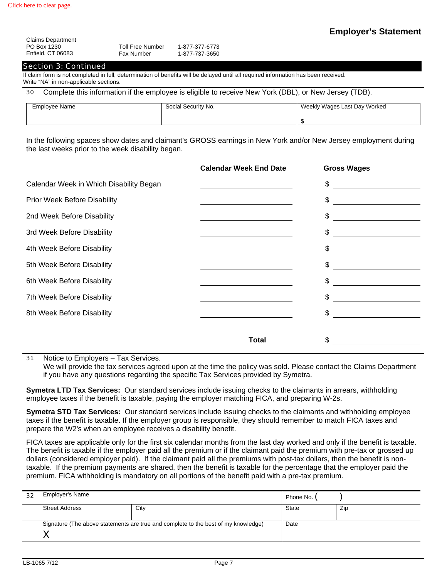| <b>Claims Department</b> |                   |                |
|--------------------------|-------------------|----------------|
| PO Box 1230              | Toll Free Number  | 1-877-377-6773 |
| Enfield, CT 06083        | <b>Fax Number</b> | 1-877-737-3650 |

### Section 3: Continued

If claim form is not completed in full, determination of benefits will be delayed until all required information has been received. Write "NA" in non-applicable sections.

30 Complete this information if the employee is eligible to receive New York (DBL), or New Jersey (TDB).

| Employee Name | Social Security No. | Weekly Wages Last Day Worked |
|---------------|---------------------|------------------------------|
|               |                     |                              |

In the following spaces show dates and claimant's GROSS earnings in New York and/or New Jersey employment during the last weeks prior to the week disability began.

|                                         | <b>Calendar Week End Date</b> | <b>Gross Wages</b>   |
|-----------------------------------------|-------------------------------|----------------------|
| Calendar Week in Which Disability Began |                               | $\mathfrak{S}$       |
| <b>Prior Week Before Disability</b>     |                               | $\frac{1}{\sqrt{2}}$ |
| 2nd Week Before Disability              |                               | $\sim$               |
| 3rd Week Before Disability              |                               | $\frac{1}{2}$        |
| 4th Week Before Disability              |                               | $\mathfrak{S}$       |
| 5th Week Before Disability              |                               | $\mathfrak{S}$       |
| 6th Week Before Disability              |                               | $\mathfrak{S}$       |
| 7th Week Before Disability              |                               | $\sim$               |
| 8th Week Before Disability              |                               |                      |
|                                         |                               |                      |
|                                         | Total                         | \$                   |

31 Notice to Employers – Tax Services.

We will provide the tax services agreed upon at the time the policy was sold. Please contact the Claims Department if you have any questions regarding the specific Tax Services provided by Symetra.

**Symetra LTD Tax Services:** Our standard services include issuing checks to the claimants in arrears, withholding employee taxes if the benefit is taxable, paying the employer matching FICA, and preparing W-2s.

**Symetra STD Tax Services:** Our standard services include issuing checks to the claimants and withholding employee taxes if the benefit is taxable. If the employer group is responsible, they should remember to match FICA taxes and prepare the W2's when an employee receives a disability benefit.

FICA taxes are applicable only for the first six calendar months from the last day worked and only if the benefit is taxable. The benefit is taxable if the employer paid all the premium or if the claimant paid the premium with pre-tax or grossed up dollars (considered employer paid). If the claimant paid all the premiums with post-tax dollars, then the benefit is nontaxable. If the premium payments are shared, then the benefit is taxable for the percentage that the employer paid the premium. FICA withholding is mandatory on all portions of the benefit paid with a pre-tax premium.

| 32 | Employer's Name                                                                    | Phone No. |       |     |
|----|------------------------------------------------------------------------------------|-----------|-------|-----|
|    | <b>Street Address</b>                                                              | City      | State | Zip |
|    | Signature (The above statements are true and complete to the best of my knowledge) | Date      |       |     |
|    |                                                                                    |           |       |     |